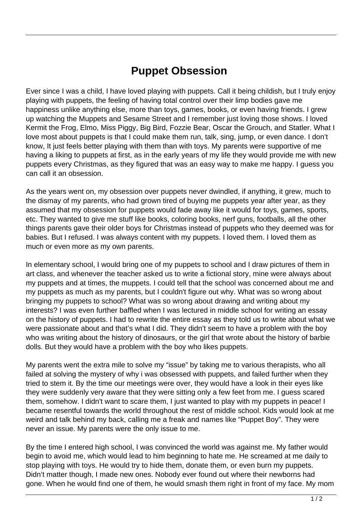## **Puppet Obsession**

Ever since I was a child, I have loved playing with puppets. Call it being childish, but I truly enjoy playing with puppets, the feeling of having total control over their limp bodies gave me happiness unlike anything else, more than toys, games, books, or even having friends. I grew up watching the Muppets and Sesame Street and I remember just loving those shows. I loved Kermit the Frog, Elmo, Miss Piggy, Big Bird, Fozzie Bear, Oscar the Grouch, and Statler. What I love most about puppets is that I could make them run, talk, sing, jump, or even dance. I don't know, It just feels better playing with them than with toys. My parents were supportive of me having a liking to puppets at first, as in the early years of my life they would provide me with new puppets every Christmas, as they figured that was an easy way to make me happy. I guess you can call it an obsession.

As the years went on, my obsession over puppets never dwindled, if anything, it grew, much to the dismay of my parents, who had grown tired of buying me puppets year after year, as they assumed that my obsession for puppets would fade away like it would for toys, games, sports, etc. They wanted to give me stuff like books, coloring books, nerf guns, footballs, all the other things parents gave their older boys for Christmas instead of puppets who they deemed was for babies. But I refused. I was always content with my puppets. I loved them. I loved them as much or even more as my own parents.

In elementary school, I would bring one of my puppets to school and I draw pictures of them in art class, and whenever the teacher asked us to write a fictional story, mine were always about my puppets and at times, the muppets. I could tell that the school was concerned about me and my puppets as much as my parents, but I couldn't figure out why. What was so wrong about bringing my puppets to school? What was so wrong about drawing and writing about my interests? I was even further baffled when I was lectured in middle school for writing an essay on the history of puppets. I had to rewrite the entire essay as they told us to write about what we were passionate about and that's what I did. They didn't seem to have a problem with the boy who was writing about the history of dinosaurs, or the girl that wrote about the history of barbie dolls. But they would have a problem with the boy who likes puppets.

My parents went the extra mile to solve my "issue" by taking me to various therapists, who all failed at solving the mystery of why i was obsessed with puppets, and failed further when they tried to stem it. By the time our meetings were over, they would have a look in their eyes like they were suddenly very aware that they were sitting only a few feet from me. I guess scared them, somehow. I didn't want to scare them, I just wanted to play with my puppets in peace! I became resentful towards the world throughout the rest of middle school. Kids would look at me weird and talk behind my back, calling me a freak and names like "Puppet Boy". They were never an issue. My parents were the only issue to me.

By the time I entered high school, I was convinced the world was against me. My father would begin to avoid me, which would lead to him beginning to hate me. He screamed at me daily to stop playing with toys. He would try to hide them, donate them, or even burn my puppets. Didn't matter though, I made new ones. Nobody ever found out where their newborns had gone. When he would find one of them, he would smash them right in front of my face. My mom